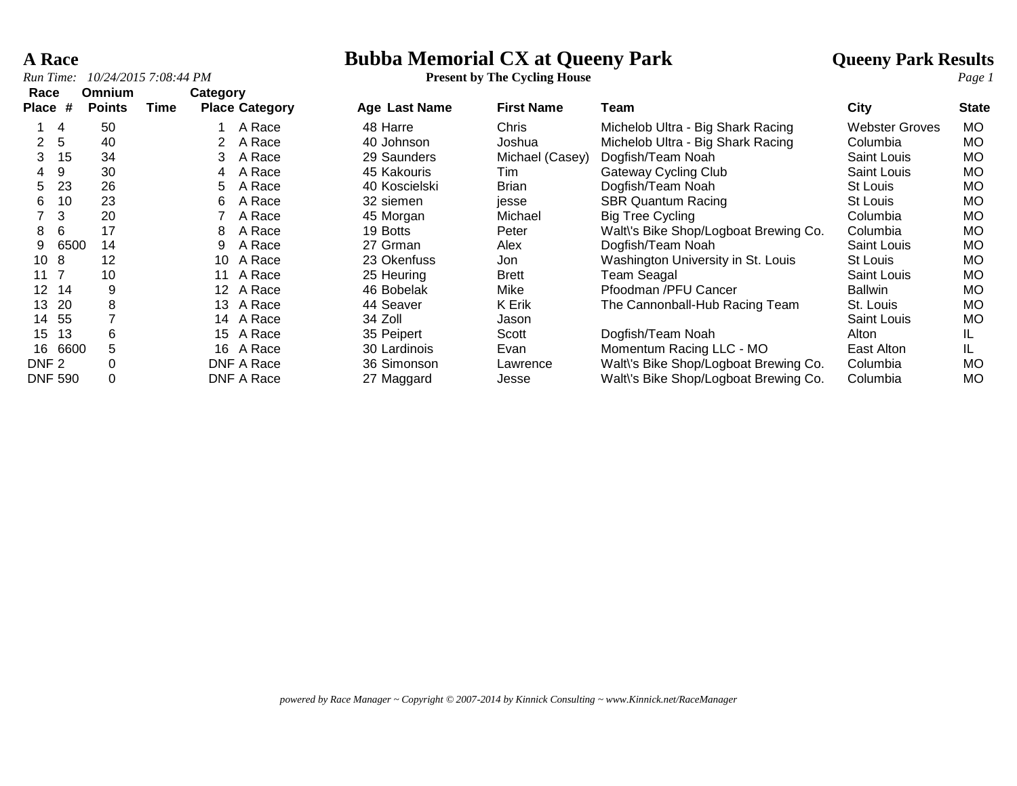# **A Race**<br> **Bubba Memorial CX at Queeny Park And Allie are all all Queeny Park Results**<br> **Present by The Cycling House**

|  |  |  | <b>Present by The Cycling House</b> |  |
|--|--|--|-------------------------------------|--|
|--|--|--|-------------------------------------|--|

| Race             |      | Omnium        |      | <b>Category</b> |                       |               |                   |                                       |                       |              |
|------------------|------|---------------|------|-----------------|-----------------------|---------------|-------------------|---------------------------------------|-----------------------|--------------|
| <b>Place</b>     | #    | <b>Points</b> | Time |                 | <b>Place Category</b> | Age Last Name | <b>First Name</b> | Team                                  | City                  | <b>State</b> |
|                  | 4    | 50            |      |                 | A Race                | 48 Harre      | Chris             | Michelob Ultra - Big Shark Racing     | <b>Webster Groves</b> | <b>MO</b>    |
| $\mathbf{2}$     | 5    | 40            |      |                 | A Race                | 40 Johnson    | Joshua            | Michelob Ultra - Big Shark Racing     | Columbia              | <b>MO</b>    |
| 3                | 15   | 34            |      | 3               | A Race                | 29 Saunders   | Michael (Casey)   | Dogfish/Team Noah                     | Saint Louis           | MO           |
| 4                | -9   | 30            |      | 4               | A Race                | 45 Kakouris   | Tim               | <b>Gateway Cycling Club</b>           | Saint Louis           | <b>MO</b>    |
| 5.               | 23   | 26            |      | 5.              | A Race                | 40 Koscielski | <b>Brian</b>      | Dogfish/Team Noah                     | St Louis              | <b>MO</b>    |
| 6.               | 10   | 23            |      | 6               | A Race                | 32 siemen     | jesse             | <b>SBR Quantum Racing</b>             | St Louis              | <b>MO</b>    |
|                  | 3    | 20            |      |                 | A Race                | 45 Morgan     | Michael           | <b>Big Tree Cycling</b>               | Columbia              | <b>MO</b>    |
| 8                | 6    | 17            |      | 8               | A Race                | 19 Botts      | Peter             | Walt\'s Bike Shop/Logboat Brewing Co. | Columbia              | <b>MO</b>    |
| 9                | 6500 | 14            |      | 9               | A Race                | 27 Grman      | Alex              | Dogfish/Team Noah                     | Saint Louis           | <b>MO</b>    |
| 10 <sub>8</sub>  |      | 12            |      | 10              | A Race                | 23 Okenfuss   | Jon               | Washington University in St. Louis    | St Louis              | <b>MO</b>    |
| 11 7             |      | 10            |      | 11              | A Race                | 25 Heuring    | <b>Brett</b>      | <b>Team Seagal</b>                    | <b>Saint Louis</b>    | <b>MO</b>    |
| 12 <sup>2</sup>  | 14   | 9             |      | 12              | A Race                | 46 Bobelak    | Mike              | Pfoodman /PFU Cancer                  | <b>Ballwin</b>        | <b>MO</b>    |
| 13               | 20   | 8             |      | 13              | A Race                | 44 Seaver     | K Erik            | The Cannonball-Hub Racing Team        | St. Louis             | <b>MO</b>    |
| 14               | 55   |               |      |                 | 14 A Race             | 34 Zoll       | Jason             |                                       | <b>Saint Louis</b>    | <b>MO</b>    |
| 15               | 13   | 6             |      | 15              | A Race                | 35 Peipert    | Scott             | Dogfish/Team Noah                     | Alton                 | IL.          |
| 16               | 6600 | 5.            |      |                 | 16 A Race             | 30 Lardinois  | Evan              | Momentum Racing LLC - MO              | East Alton            | IL.          |
| DNF <sub>2</sub> |      | $\Omega$      |      |                 | DNF A Race            | 36 Simonson   | Lawrence          | Walt\'s Bike Shop/Logboat Brewing Co. | Columbia              | <b>MO</b>    |
| <b>DNF 590</b>   |      | $\Omega$      |      |                 | DNF A Race            | 27 Maggard    | Jesse             | Walt\'s Bike Shop/Logboat Brewing Co. | Columbia              | <b>MO</b>    |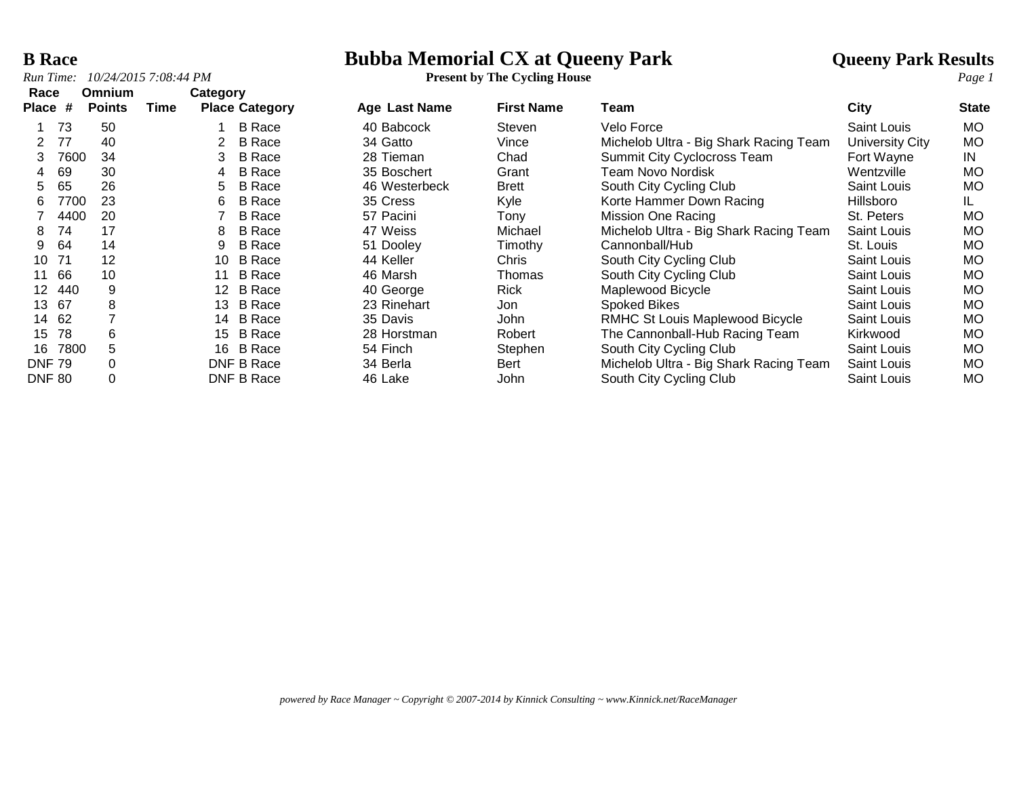# **B Race**<br> **Bubba Memorial CX at Queeny Park And Allie and Allie Results**<br> **Bubba Memorial CX at Queeny Park Action**<br> **Present by The Cycling House**

| Race          | <b>Omnium</b> | Category        |                       |               |                   |                                        |                    |              |
|---------------|---------------|-----------------|-----------------------|---------------|-------------------|----------------------------------------|--------------------|--------------|
| Place #       | <b>Points</b> | Time            | <b>Place Category</b> | Age Last Name | <b>First Name</b> | Team                                   | City               | <b>State</b> |
| 73            | 50            |                 | <b>B</b> Race         | 40 Babcock    | Steven            | Velo Force                             | <b>Saint Louis</b> | <b>MO</b>    |
| 77            | 40            | 2               | B Race                | 34 Gatto      | Vince             | Michelob Ultra - Big Shark Racing Team | University City    | <b>MO</b>    |
| 7600          | 34            | 3               | <b>B</b> Race         | 28 Tieman     | Chad              | <b>Summit City Cyclocross Team</b>     | Fort Wayne         | IN           |
| 69<br>4       | 30            | 4               | <b>B</b> Race         | 35 Boschert   | Grant             | Team Novo Nordisk                      | Wentzville         | <b>MO</b>    |
| 65<br>5       | 26            | 5               | <b>B</b> Race         | 46 Westerbeck | <b>Brett</b>      | South City Cycling Club                | <b>Saint Louis</b> | MO.          |
| 7700<br>6     | 23            | 6               | <b>B</b> Race         | 35 Cress      | Kyle              | Korte Hammer Down Racing               | Hillsboro          | IL           |
| 4400          | 20            |                 | <b>B</b> Race         | 57 Pacini     | Tony              | Mission One Racing                     | St. Peters         | <b>MO</b>    |
| 74<br>8       | 17            | 8               | <b>B</b> Race         | 47 Weiss      | Michael           | Michelob Ultra - Big Shark Racing Team | Saint Louis        | МO           |
| 64<br>9       | 14            | 9               | <b>B</b> Race         | 51 Dooley     | Timothy           | Cannonball/Hub                         | St. Louis          | MO.          |
| 71<br>10      | 12            | 10              | <b>B</b> Race         | 44 Keller     | Chris             | South City Cycling Club                | <b>Saint Louis</b> | МO           |
| 66<br>11      | 10            | 11              | <b>B</b> Race         | 46 Marsh      | Thomas            | South City Cycling Club                | <b>Saint Louis</b> | МO           |
| 440<br>12     | 9             | 12 <sup>2</sup> | <b>B</b> Race         | 40 George     | <b>Rick</b>       | Maplewood Bicycle                      | <b>Saint Louis</b> | MO.          |
| 67<br>13      | 8             | 13              | <b>B</b> Race         | 23 Rinehart   | Jon.              | Spoked Bikes                           | Saint Louis        | MO.          |
| 62<br>14      |               | 14              | B Race                | 35 Davis      | John              | <b>RMHC St Louis Maplewood Bicycle</b> | Saint Louis        | <b>MO</b>    |
| 78<br>15      | 6             | 15              | <b>B</b> Race         | 28 Horstman   | Robert            | The Cannonball-Hub Racing Team         | Kirkwood           | МO           |
| 7800<br>16.   | 5             | 16              | <b>B</b> Race         | 54 Finch      | Stephen           | South City Cycling Club                | Saint Louis        | <b>MO</b>    |
| <b>DNF 79</b> | 0             |                 | DNF B Race            | 34 Berla      | <b>Bert</b>       | Michelob Ultra - Big Shark Racing Team | Saint Louis        | <b>MO</b>    |
| <b>DNF 80</b> | 0             |                 | DNF B Race            | 46 Lake       | John              | South City Cycling Club                | Saint Louis        | MO.          |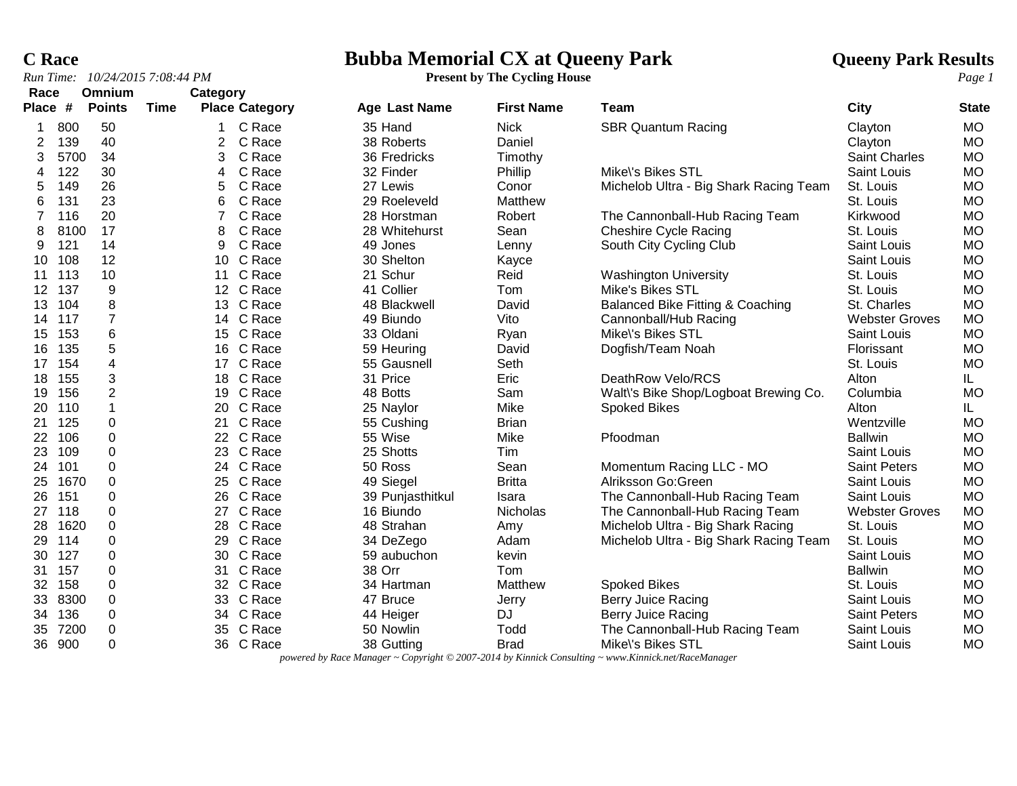# **C Race**<br> **Rubba Memorial CX at Queeny Park And Allie are all Society Park Results**<br> **Present by The Cycling House**<br> **Present by The Cycling House**

| Race<br>Place # |      | Omnium<br><b>Points</b> | Time | Category        | <b>Place Category</b> | <b>Age Last Name</b> | <b>First Name</b> | Team                                        | City                  | <b>State</b> |
|-----------------|------|-------------------------|------|-----------------|-----------------------|----------------------|-------------------|---------------------------------------------|-----------------------|--------------|
|                 |      |                         |      |                 |                       |                      |                   |                                             |                       |              |
| 1               | 800  | 50                      |      |                 | C Race                | 35 Hand              | <b>Nick</b>       | <b>SBR Quantum Racing</b>                   | Clayton               | <b>MO</b>    |
| 2               | 139  | 40                      |      | 2               | C Race                | 38 Roberts           | Daniel            |                                             | Clayton               | <b>MO</b>    |
| 3               | 5700 | 34                      |      | 3               | C Race                | 36 Fredricks         | Timothy           |                                             | <b>Saint Charles</b>  | <b>MO</b>    |
| 4               | 122  | 30                      |      | 4               | C Race                | 32 Finder            | Phillip           | Mike\'s Bikes STL                           | Saint Louis           | <b>MO</b>    |
| 5               | 149  | 26                      |      | 5               | C Race                | 27 Lewis             | Conor             | Michelob Ultra - Big Shark Racing Team      | St. Louis             | <b>MO</b>    |
| 6               | 131  | 23                      |      | 6               | C Race                | 29 Roeleveld         | Matthew           |                                             | St. Louis             | <b>MO</b>    |
| 7               | 116  | 20                      |      | 7               | C Race                | 28 Horstman          | Robert            | The Cannonball-Hub Racing Team              | Kirkwood              | <b>MO</b>    |
| 8               | 8100 | 17                      |      | 8               | C Race                | 28 Whitehurst        | Sean              | <b>Cheshire Cycle Racing</b>                | St. Louis             | <b>MO</b>    |
| 9               | 121  | 14                      |      | 9               | C Race                | 49 Jones             | Lenny             | South City Cycling Club                     | Saint Louis           | <b>MO</b>    |
| 10              | 108  | 12                      |      |                 | 10 C Race             | 30 Shelton           | Kayce             |                                             | Saint Louis           | <b>MO</b>    |
| 11              | 113  | 10                      |      | 11              | C Race                | 21 Schur             | Reid              | <b>Washington University</b>                | St. Louis             | <b>MO</b>    |
| 12 <sup>°</sup> | 137  | 9                       |      |                 | 12 C Race             | 41 Collier           | Tom               | <b>Mike's Bikes STL</b>                     | St. Louis             | <b>MO</b>    |
| 13              | 104  | 8                       |      | 13 <sup>°</sup> | C Race                | 48 Blackwell         | David             | <b>Balanced Bike Fitting &amp; Coaching</b> | St. Charles           | <b>MO</b>    |
| 14              | 117  | $\overline{7}$          |      |                 | 14 C Race             | 49 Biundo            | Vito              | Cannonball/Hub Racing                       | <b>Webster Groves</b> | <b>MO</b>    |
| 15              | 153  | 6                       |      |                 | 15 C Race             | 33 Oldani            | Ryan              | Mike\'s Bikes STL                           | Saint Louis           | <b>MO</b>    |
| 16              | 135  | 5                       |      | 16              | C Race                | 59 Heuring           | David             | Dogfish/Team Noah                           | Florissant            | <b>MO</b>    |
| 17              | 154  | 4                       |      | 17              | C Race                | 55 Gausnell          | Seth              |                                             | St. Louis             | <b>MO</b>    |
| 18              | 155  | 3                       |      |                 | 18 C Race             | 31 Price             | Eric              | DeathRow Velo/RCS                           | Alton                 | IL.          |
| 19              | 156  | $\overline{c}$          |      |                 | 19 C Race             | 48 Botts             | Sam               | Walt\'s Bike Shop/Logboat Brewing Co.       | Columbia              | <b>MO</b>    |
| 20              | 110  | 1                       |      |                 | 20 C Race             | 25 Naylor            | Mike              | <b>Spoked Bikes</b>                         | Alton                 | IL.          |
| 21              | 125  | 0                       |      | 21              | C Race                | 55 Cushing           | <b>Brian</b>      |                                             | Wentzville            | <b>MO</b>    |
| 22              | 106  | 0                       |      |                 | 22 C Race             | 55 Wise              | Mike              | Pfoodman                                    | <b>Ballwin</b>        | <b>MO</b>    |
| 23              | 109  | 0                       |      |                 | 23 C Race             | 25 Shotts            | Tim               |                                             | <b>Saint Louis</b>    | <b>MO</b>    |
| 24              | 101  | $\Omega$                |      |                 | 24 C Race             | 50 Ross              | Sean              | Momentum Racing LLC - MO                    | <b>Saint Peters</b>   | <b>MO</b>    |
| 25              | 1670 | 0                       |      |                 | 25 C Race             | 49 Siegel            | <b>Britta</b>     | Alriksson Go:Green                          | Saint Louis           | <b>MO</b>    |
| 26              | 151  | 0                       |      |                 | 26 C Race             | 39 Punjasthitkul     | Isara             | The Cannonball-Hub Racing Team              | <b>Saint Louis</b>    | <b>MO</b>    |
| 27              | 118  | 0                       |      |                 | 27 C Race             | 16 Biundo            | <b>Nicholas</b>   | The Cannonball-Hub Racing Team              | <b>Webster Groves</b> | <b>MO</b>    |
| 28              | 1620 | 0                       |      | 28              | C Race                | 48 Strahan           | Amy               | Michelob Ultra - Big Shark Racing           | St. Louis             | <b>MO</b>    |
| 29              | 114  | 0                       |      | 29              | C Race                | 34 DeZego            | Adam              | Michelob Ultra - Big Shark Racing Team      | St. Louis             | <b>MO</b>    |
| 30              | 127  | $\pmb{0}$               |      |                 | 30 C Race             | 59 aubuchon          | kevin             |                                             | Saint Louis           | <b>MO</b>    |
| 31              | 157  | $\boldsymbol{0}$        |      | 31              | C Race                | 38 Orr               | Tom               |                                             | <b>Ballwin</b>        | <b>MO</b>    |
| 32              | 158  | $\boldsymbol{0}$        |      |                 | 32 C Race             | 34 Hartman           | Matthew           | <b>Spoked Bikes</b>                         | St. Louis             | <b>MO</b>    |
| 33              | 8300 | $\pmb{0}$               |      |                 | 33 C Race             | 47 Bruce             | Jerry             | Berry Juice Racing                          | Saint Louis           | <b>MO</b>    |
| 34              | 136  | $\boldsymbol{0}$        |      |                 | 34 C Race             | 44 Heiger            | <b>DJ</b>         | Berry Juice Racing                          | <b>Saint Peters</b>   | <b>MO</b>    |
| 35              | 7200 | 0                       |      | 35              | C Race                | 50 Nowlin            | Todd              | The Cannonball-Hub Racing Team              | Saint Louis           | <b>MO</b>    |
| 36              | 900  | 0                       |      |                 | 36 C Race             | 38 Gutting           | <b>Brad</b>       | Mike\'s Bikes STL                           | Saint Louis           | <b>MO</b>    |

*powered by Race Manager ~ Copyright © 2007-2014 by Kinnick Consulting ~ www.Kinnick.net/RaceManager*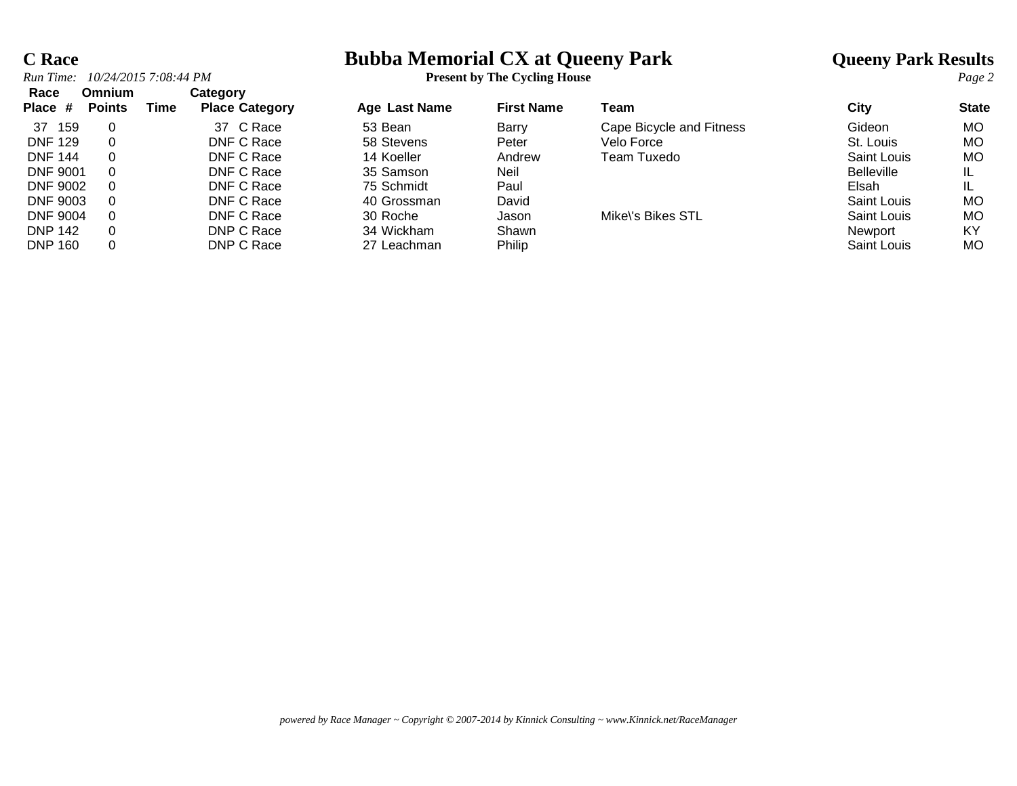# **C Race**<br> **Bubba Memorial CX at Queeny Park And Allie are all all Queeny Park Results**<br> **Particle Particle Park Results**<br> **Particle Particle Particle Particle Particle Particle Page 2**

| Race<br>Place # | Omnium<br><b>Points</b> | Time | Category<br><b>Place Category</b> | Age Last Name | <b>First Name</b> | Team                     | City               | <b>State</b> |
|-----------------|-------------------------|------|-----------------------------------|---------------|-------------------|--------------------------|--------------------|--------------|
| 159<br>37       | 0                       |      | 37 C Race                         | 53 Bean       | Barry             | Cape Bicycle and Fitness | Gideon             | MO.          |
| <b>DNF 129</b>  |                         |      | DNF C Race                        | 58 Stevens    | Peter             | Velo Force               | St. Louis          | MO.          |
| <b>DNF 144</b>  | 0                       |      | DNF C Race                        | 14 Koeller    | Andrew            | Team Tuxedo              | Saint Louis        | MO           |
| <b>DNF 9001</b> | $\Omega$                |      | DNF C Race                        | 35 Samson     | Neil              |                          | <b>Belleville</b>  |              |
| <b>DNF 9002</b> | $\Omega$                |      | DNF C Race                        | 75 Schmidt    | Paul              |                          | Elsah              |              |
| <b>DNF 9003</b> | $\Omega$                |      | DNF C Race                        | 40 Grossman   | David             |                          | Saint Louis        | МO           |
| <b>DNF 9004</b> | $\Omega$                |      | DNF C Race                        | 30 Roche      | Jason             | Mike\'s Bikes STL        | Saint Louis        | МO           |
| <b>DNP 142</b>  | 0                       |      | DNP C Race                        | 34 Wickham    | Shawn             |                          | Newport            | ΚY           |
| <b>DNP 160</b>  | 0                       |      | DNP C Race                        | 27 Leachman   | Philip            |                          | <b>Saint Louis</b> | MO.          |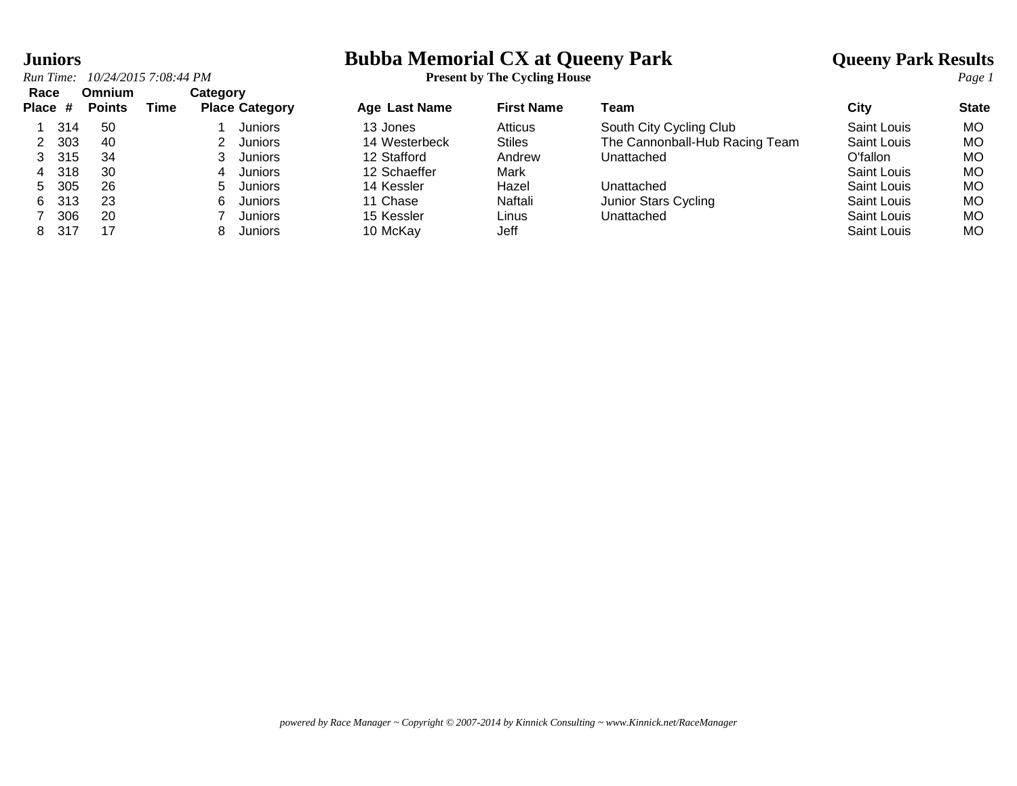# **Juniors**<br> **Bubba Memorial CX at Queeny Park And Allie are all CX** at the Cycling House Park Results<br> **Particle Particle Park Results**<br> **Particle Particle Particle Particle Particle Particle Particle Page 1**

|  | Run Time: 10/24/2015 7:08:44 PM | <b>Present by The Cycling House</b> |
|--|---------------------------------|-------------------------------------|
|--|---------------------------------|-------------------------------------|

| Race<br>Place # |      | <b>Omnium</b><br><b>Points</b> | Time | Category | <b>Place Category</b> | <b>Age Last Name</b> | <b>First Name</b> | Team                           | City               | <b>State</b> |
|-----------------|------|--------------------------------|------|----------|-----------------------|----------------------|-------------------|--------------------------------|--------------------|--------------|
|                 | 314  | 50                             |      |          | Juniors               | 13 Jones             | Atticus           | South City Cycling Club        | Saint Louis        | МO           |
|                 | 303  | 40                             |      |          | <b>Juniors</b>        | 14 Westerbeck        | <b>Stiles</b>     | The Cannonball-Hub Racing Team | <b>Saint Louis</b> | МO           |
|                 | 315  | 34                             |      |          | Juniors               | 12 Stafford          | Andrew            | Unattached                     | O'fallon           | МO           |
| 4               | 318  | 30                             |      | 4        | Juniors               | 12 Schaeffer         | Mark              |                                | <b>Saint Louis</b> | МO           |
| 5.              | 305  | 26                             |      | h.       | Juniors               | 14 Kessler           | Hazel             | Unattached                     | Saint Louis        | МO           |
| 6               | 313  | 23                             |      | h        | Juniors               | 11 Chase             | Naftali           | Junior Stars Cycling           | Saint Louis        | МO           |
|                 | 306  | 20                             |      |          | Juniors               | 15 Kessler           | Linus             | Unattached                     | Saint Louis        | МO           |
| 8               | -317 | 17                             |      |          | Juniors               | 10 McKay             | Jeff              |                                | Saint Louis        | МO           |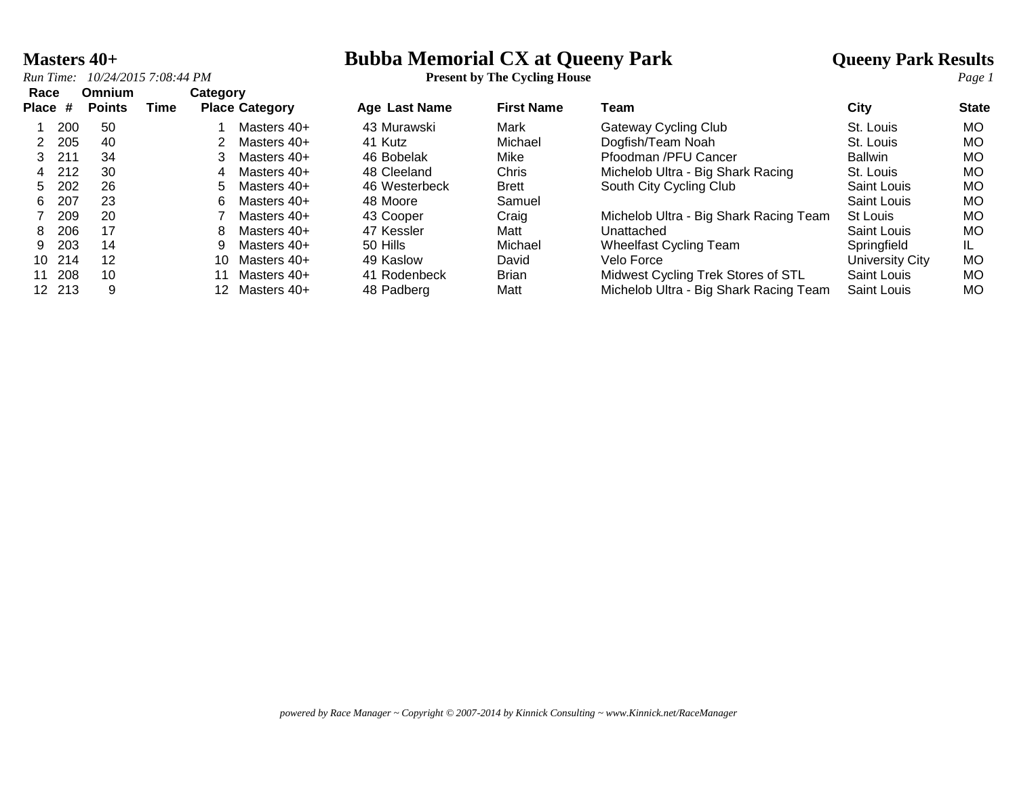*Run Time: 10/24/2015 7:08:44 PM* **Present by The Cycling House** *Page 1*

### **Masters 40+**<br> **Bubba Memorial CX at Queeny Park And All All Converts Age of the Cycling House**<br> **Park Results**<br> **Present by The Cycling House**

| Race         |        | <b>Omnium</b> |      | Category         |                       |                      |                   |                                        |                 |              |
|--------------|--------|---------------|------|------------------|-----------------------|----------------------|-------------------|----------------------------------------|-----------------|--------------|
| <b>Place</b> | #      | <b>Points</b> | Time |                  | <b>Place Category</b> | <b>Age Last Name</b> | <b>First Name</b> | Team                                   | City            | <b>State</b> |
|              | 200    | -50           |      |                  | Masters 40+           | 43 Murawski          | Mark              | Gateway Cycling Club                   | St. Louis       | <b>MO</b>    |
|              | 205    | 40            |      |                  | Masters 40+           | 41 Kutz              | Michael           | Dogfish/Team Noah                      | St. Louis       | <b>MO</b>    |
| 3.           | 211    | 34            |      |                  | Masters 40+           | 46 Bobelak           | Mike              | Pfoodman /PFU Cancer                   | <b>Ballwin</b>  | МO           |
| 4            | 212    | 30            |      | 4                | Masters $40+$         | 48 Cleeland          | Chris             | Michelob Ultra - Big Shark Racing      | St. Louis       | MO.          |
| 5.           | 202    | 26            |      | 5.               | Masters 40+           | 46 Westerbeck        | <b>Brett</b>      | South City Cycling Club                | Saint Louis     | <b>MO</b>    |
| 6.           | 207    | 23            |      |                  | Masters 40+           | 48 Moore             | Samuel            |                                        | Saint Louis     | МO           |
|              | 209    | 20            |      |                  | Masters 40+           | 43 Cooper            | Craig             | Michelob Ultra - Big Shark Racing Team | St Louis        | МO           |
| 8            | 206    | 17            |      |                  | Masters 40+           | 47 Kessler           | Matt              | Unattached                             | Saint Louis     | <b>MO</b>    |
| 9            | 203    | 14            |      |                  | Masters 40+           | 50 Hills             | Michael           | Wheelfast Cycling Team                 | Springfield     |              |
| 10           | 214    | 12            |      | 10               | Masters 40+           | 49 Kaslow            | David             | Velo Force                             | University City | <b>MO</b>    |
| 11           | 208    | 10            |      |                  | Masters 40+           | 41 Rodenbeck         | <b>Brian</b>      | Midwest Cycling Trek Stores of STL     | Saint Louis     | МO           |
|              | 12 213 | 9             |      | 12 <sup>12</sup> | Masters 40+           | 48 Padberg           | Matt              | Michelob Ultra - Big Shark Racing Team | Saint Louis     | МO           |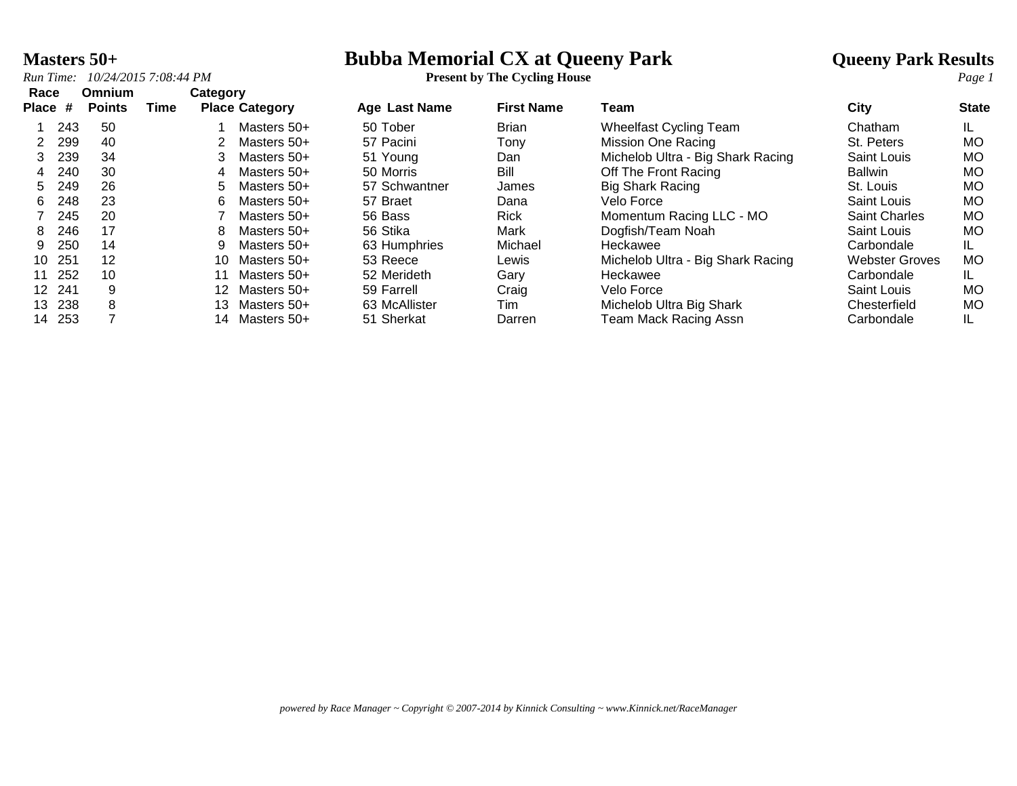### **Masters 50+**<br> **Bubba Memorial CX at Queeny Park And All All CONVIGONS**<br> **Present by The Cycling House**<br> **Park Results**<br> **Present by The Cycling House**

*Run Time: 10/24/2015 7:08:44 PM* **Present by The Cycling House** *Page 1*

| Race            |     | Omnium        |      | Category        |                       |                      |                   |                                   |                       |              |
|-----------------|-----|---------------|------|-----------------|-----------------------|----------------------|-------------------|-----------------------------------|-----------------------|--------------|
| Place #         |     | <b>Points</b> | Time |                 | <b>Place Category</b> | <b>Age Last Name</b> | <b>First Name</b> | Team                              | City                  | <b>State</b> |
|                 | 243 | 50            |      |                 | Masters 50+           | 50 Tober             | <b>Brian</b>      | <b>Wheelfast Cycling Team</b>     | Chatham               | IL.          |
| $\mathcal{P}$   | 299 | 40            |      |                 | Masters 50+           | 57 Pacini            | Tonv              | Mission One Racing                | St. Peters            | <b>MO</b>    |
| 3               | 239 | 34            |      | 3               | Masters 50+           | 51 Young             | Dan               | Michelob Ultra - Big Shark Racing | Saint Louis           | <b>MO</b>    |
| 4               | 240 | 30            |      | 4               | Masters 50+           | 50 Morris            | Bill              | Off The Front Racing              | Ballwin               | MO           |
| 5               | 249 | 26            |      | 5.              | Masters 50+           | 57 Schwantner        | James             | <b>Big Shark Racing</b>           | St. Louis             | <b>MO</b>    |
| 6.              | 248 | 23            |      | 6.              | Masters 50+           | 57 Braet             | Dana              | Velo Force                        | Saint Louis           | <b>MO</b>    |
|                 | 245 | 20            |      |                 | Masters 50+           | 56 Bass              | <b>Rick</b>       | Momentum Racing LLC - MO          | <b>Saint Charles</b>  | <b>MO</b>    |
| 8               | 246 | 17            |      | 8               | Masters 50+           | 56 Stika             | Mark              | Dogfish/Team Noah                 | Saint Louis           | <b>MO</b>    |
| 9.              | 250 | 14            |      | 9               | Masters 50+           | 63 Humphries         | Michael           | Heckawee                          | Carbondale            | IL.          |
| 10              | 251 | 12            |      | 10              | Masters 50+           | 53 Reece             | Lewis             | Michelob Ultra - Big Shark Racing | <b>Webster Groves</b> | <b>MO</b>    |
| 11              | 252 | 10            |      |                 | Masters 50+           | 52 Merideth          | Gary              | Heckawee                          | Carbondale            | IL.          |
| 12 <sup>7</sup> | 241 | 9             |      | 12 <sup>2</sup> | Masters 50+           | 59 Farrell           | Craig             | Velo Force                        | Saint Louis           | <b>MO</b>    |
| 13.             | 238 | 8             |      | 13.             | Masters 50+           | 63 McAllister        | Tim               | Michelob Ultra Big Shark          | Chesterfield          | <b>MO</b>    |
| 14              | 253 |               |      | 14.             | Masters 50+           | 51 Sherkat           | Darren            | <b>Team Mack Racing Assn</b>      | Carbondale            | IL.          |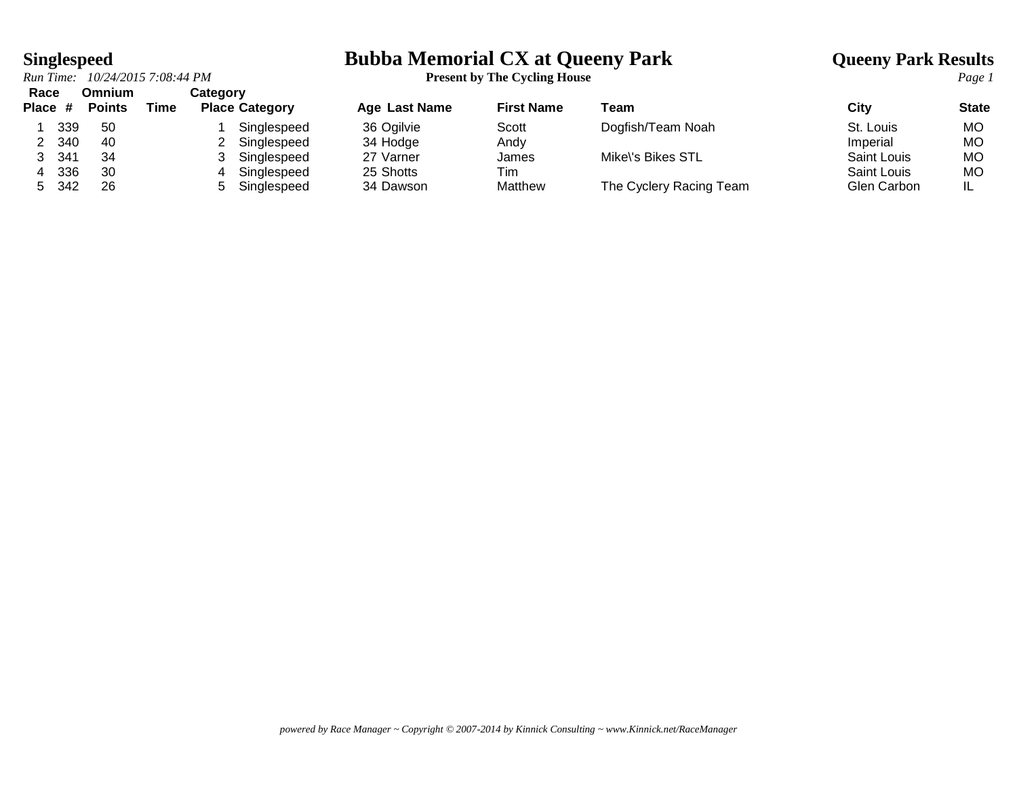*Run Time: 10/24/2015 7:08:44 PM* **Present by The Cycling House** *Page 1* **Race Omnium Category**

# **Singlespeed**<br> **Bubba Memorial CX at Queeny Park Cyling House**<br> **Park Results**<br> **Page 1**<br> **Page 1**

| nace    |     | UMMUNI        |      | <b>Calegory</b>       |               |                   |                         |             |              |
|---------|-----|---------------|------|-----------------------|---------------|-------------------|-------------------------|-------------|--------------|
| Place # |     | <b>Points</b> | Time | <b>Place Category</b> | Age Last Name | <b>First Name</b> | Team                    | City        | <b>State</b> |
|         | 339 | -50           |      | Singlespeed           | 36 Ogilvie    | Scott             | Dogfish/Team Noah       | St. Louis   | <b>MO</b>    |
|         | 340 | 40            |      | Singlespeed           | 34 Hodge      | Andy              |                         | Imperial    | МO           |
|         | 341 | 34            |      | Singlespeed           | 27 Varner     | James             | Mike\'s Bikes STL       | Saint Louis | <b>MO</b>    |
|         | 336 | 30            |      | Singlespeed           | 25 Shotts     | Tim               |                         | Saint Louis | МO           |
|         | 342 | 26            |      | Singlespeed           | 34 Dawson     | Matthew           | The Cyclery Racing Team | Glen Carbon | IL           |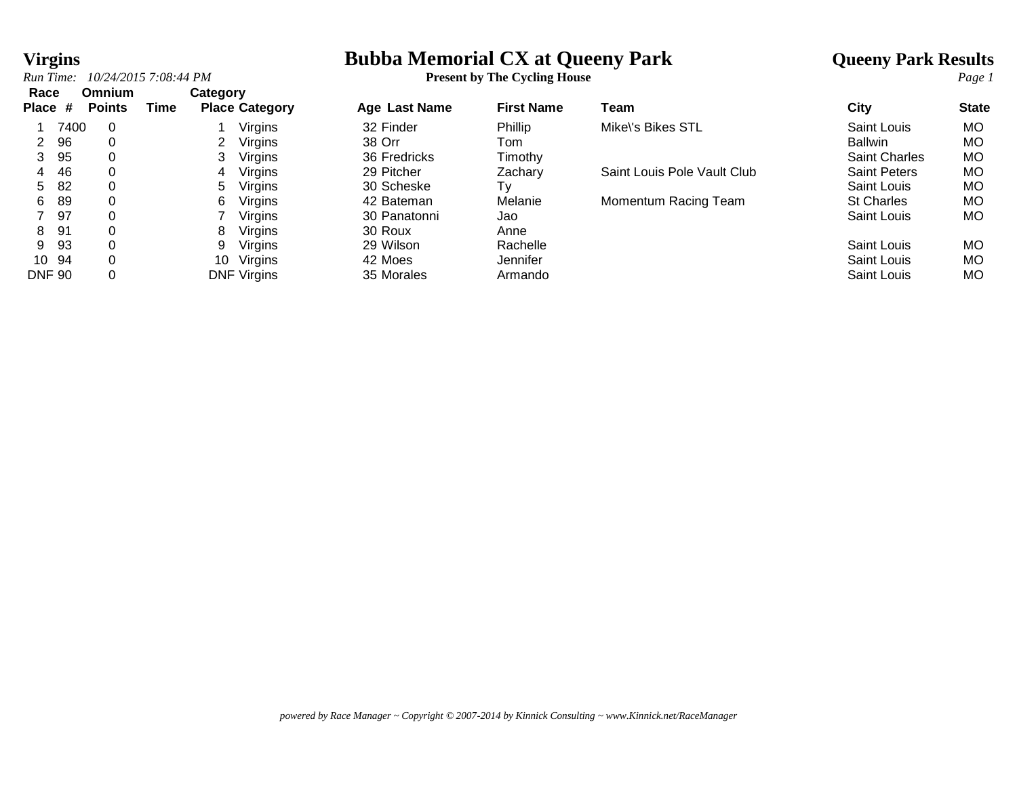# **Virgins**<br> **Bubba Memorial CX at Queeny Park And Allie are all Society Park Results**<br> **Present by The Cycling House**<br> **Present by The Cycling House**

| 10/24/2015 7:08:44 PM<br>Run Time: | <b>Present by The Cycling House</b><br>–<br>$\sim$ $\sim$ | Page 1 |
|------------------------------------|-----------------------------------------------------------|--------|
|------------------------------------|-----------------------------------------------------------|--------|

| Race<br>Place #      |      | <b>Omnium</b><br><b>Points</b> | Time | Category | <b>Place Category</b> | Age Last Name | <b>First Name</b> | Team                        | City                 | <b>State</b> |
|----------------------|------|--------------------------------|------|----------|-----------------------|---------------|-------------------|-----------------------------|----------------------|--------------|
|                      | 7400 | -0                             |      |          | Virgins               | 32 Finder     | Phillip           | Mike\'s Bikes STL           | Saint Louis          | <b>MO</b>    |
| $\mathbf{2}^{\circ}$ | 96   |                                |      |          | Virgins               | 38 Orr        | Tom               |                             | <b>Ballwin</b>       | МO           |
| 3                    | 95   | 0                              |      |          | <b>Virgins</b>        | 36 Fredricks  | Timothy           |                             | <b>Saint Charles</b> | МO           |
| 4                    | 46   | 0                              |      | 4        | Virgins               | 29 Pitcher    | Zachary           | Saint Louis Pole Vault Club | <b>Saint Peters</b>  | <b>MO</b>    |
| 5                    | -82  |                                |      | 5.       | <b>Virgins</b>        | 30 Scheske    | T۷                |                             | Saint Louis          | <b>MO</b>    |
| 6                    | 89   |                                |      | 6        | Virgins               | 42 Bateman    | Melanie           | Momentum Racing Team        | <b>St Charles</b>    | <b>MO</b>    |
|                      | 97   |                                |      |          | Virgins               | 30 Panatonni  | Jao               |                             | Saint Louis          | <b>MO</b>    |
| 8                    | -91  |                                |      | 8        | Virgins               | 30 Roux       | Anne              |                             |                      |              |
| 9                    | -93  | $\Omega$                       |      | 9        | Virgins               | 29 Wilson     | Rachelle          |                             | Saint Louis          | <b>MO</b>    |
| 10 94                |      |                                |      | 10       | Virgins               | 42 Moes       | Jennifer          |                             | Saint Louis          | <b>MO</b>    |
| <b>DNF 90</b>        |      |                                |      |          | <b>DNF Virgins</b>    | 35 Morales    | Armando           |                             | Saint Louis          | <b>MO</b>    |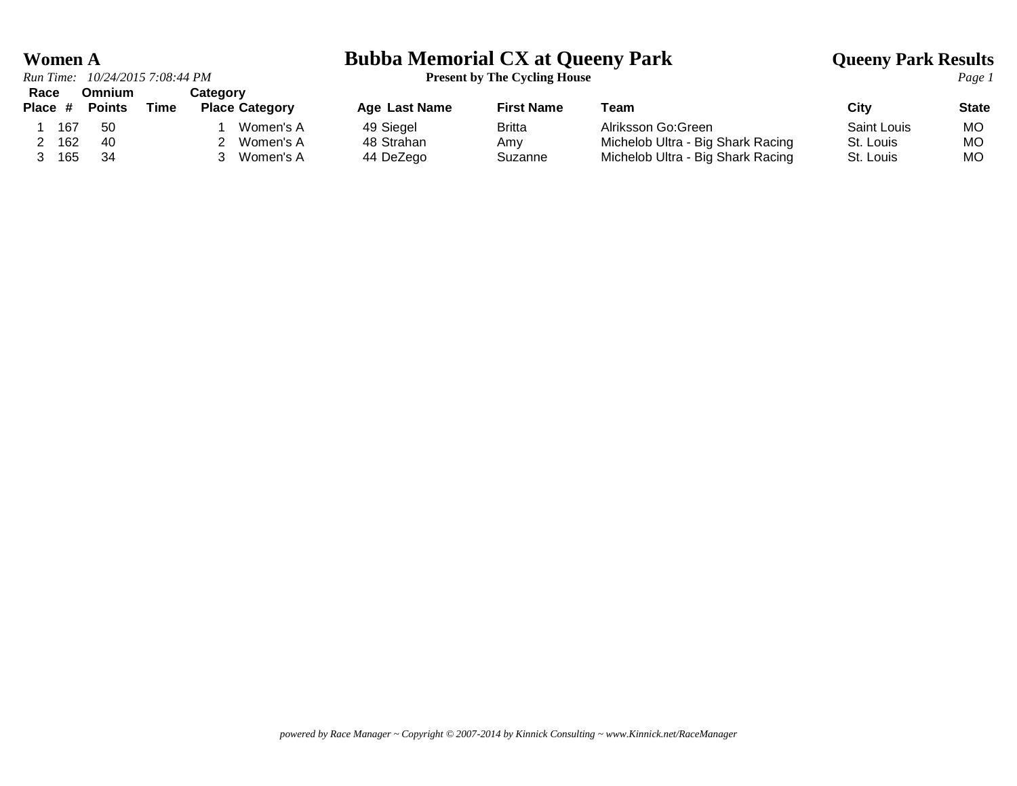*Run Time: 10/24/2015 7:08:44 PM* **Present by The Cycling House** *Page 1* **Race Omnium Category**

### **Women A Bubba Memorial CX at Queeny Park Queeny Park Results**

| ------- | Place # | <b>Points</b> | Time | <b>Place Category</b> | <b>Age Last Name</b> | <b>First Name</b> | Team                              | City               | <b>State</b> |
|---------|---------|---------------|------|-----------------------|----------------------|-------------------|-----------------------------------|--------------------|--------------|
|         | 167     | -50           |      | Women's A             | 49 Siegel            | Britta            | Alriksson Go:Green                | <b>Saint Louis</b> | MO           |
|         | 162     | -40           |      | Women's A             | 48 Strahan           | Amv               | Michelob Ultra - Big Shark Racing | St. Louis          | MO.          |
|         | 165     | -34           |      | Women's A             | 44 DeZego            | Suzanne           | Michelob Ultra - Big Shark Racing | St. Louis          | MO.          |